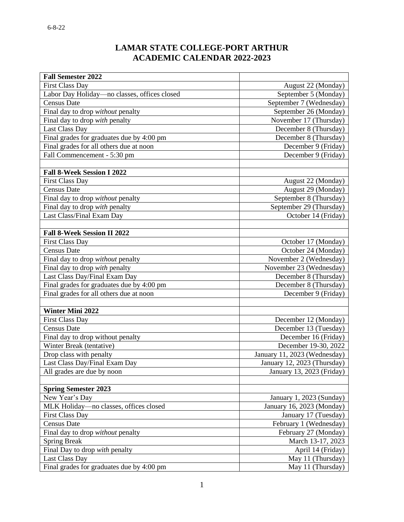## **LAMAR STATE COLLEGE-PORT ARTHUR ACADEMIC CALENDAR 2022-2023**

| <b>Fall Semester 2022</b>                    |                              |
|----------------------------------------------|------------------------------|
| <b>First Class Day</b>                       | August 22 (Monday)           |
| Labor Day Holiday-no classes, offices closed | September 5 (Monday)         |
| <b>Census Date</b>                           | September 7 (Wednesday)      |
| Final day to drop without penalty            | September 26 (Monday)        |
| Final day to drop with penalty               | November 17 (Thursday)       |
| <b>Last Class Day</b>                        | December 8 (Thursday)        |
| Final grades for graduates due by 4:00 pm    | December 8 (Thursday)        |
| Final grades for all others due at noon      | December 9 (Friday)          |
| Fall Commencement - 5:30 pm                  | December 9 (Friday)          |
|                                              |                              |
| <b>Fall 8-Week Session I 2022</b>            |                              |
| <b>First Class Day</b>                       | August 22 (Monday)           |
| <b>Census Date</b>                           | August 29 (Monday)           |
| Final day to drop without penalty            | September 8 (Thursday)       |
| Final day to drop with penalty               | September 29 (Thursday)      |
| Last Class/Final Exam Day                    | October 14 (Friday)          |
|                                              |                              |
| <b>Fall 8-Week Session II 2022</b>           |                              |
| <b>First Class Day</b>                       | October 17 (Monday)          |
| <b>Census Date</b>                           | October 24 (Monday)          |
| Final day to drop without penalty            | November 2 (Wednesday)       |
| Final day to drop with penalty               | November 23 (Wednesday)      |
| Last Class Day/Final Exam Day                | December 8 (Thursday)        |
| Final grades for graduates due by 4:00 pm    | December 8 (Thursday)        |
| Final grades for all others due at noon      | December 9 (Friday)          |
|                                              |                              |
| <b>Winter Mini 2022</b>                      |                              |
| <b>First Class Day</b>                       | December 12 (Monday)         |
| <b>Census Date</b>                           | December 13 (Tuesday)        |
| Final day to drop without penalty            | December 16 (Friday)         |
| Winter Break (tentative)                     | December 19-30, 2022         |
| Drop class with penalty                      | January 11, 2023 (Wednesday) |
| Last Class Day/Final Exam Day                | January 12, 2023 (Thursday)  |
| All grades are due by noon                   | January 13, 2023 (Friday)    |
|                                              |                              |
| <b>Spring Semester 2023</b>                  |                              |
| New Year's Day                               | January 1, 2023 (Sunday)     |
| MLK Holiday-no classes, offices closed       | January 16, 2023 (Monday)    |
| <b>First Class Day</b>                       | January 17 (Tuesday)         |
| <b>Census Date</b>                           | February 1 (Wednesday)       |
| Final day to drop without penalty            | February 27 (Monday)         |
| <b>Spring Break</b>                          | March 13-17, 2023            |
| Final Day to drop with penalty               | April 14 (Friday)            |
| <b>Last Class Day</b>                        | May 11 (Thursday)            |
| Final grades for graduates due by 4:00 pm    | May 11 (Thursday)            |